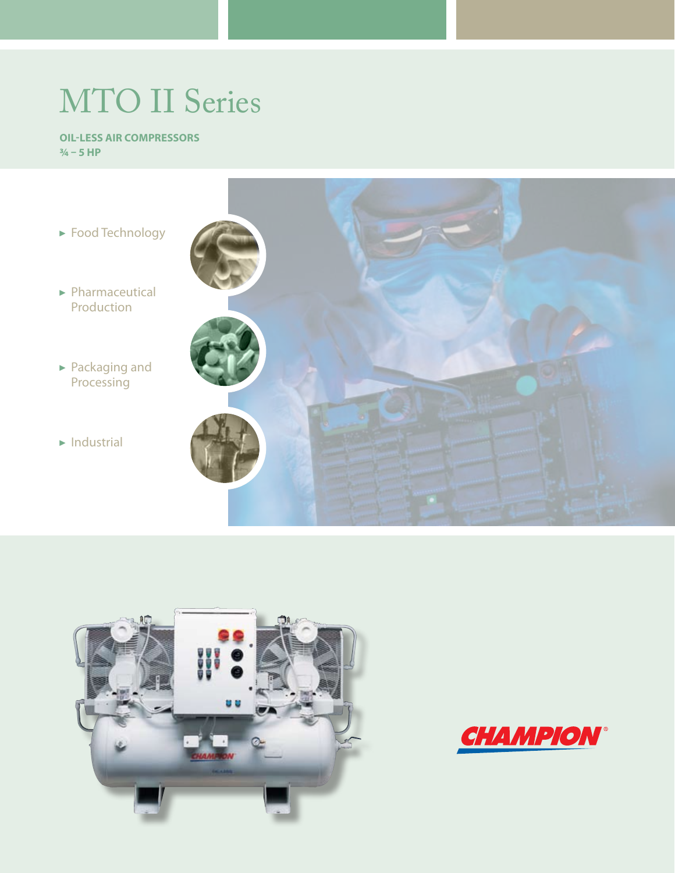# MTO II Series

#### **Oil-Less Air Compressors ¾ – 5 HP**





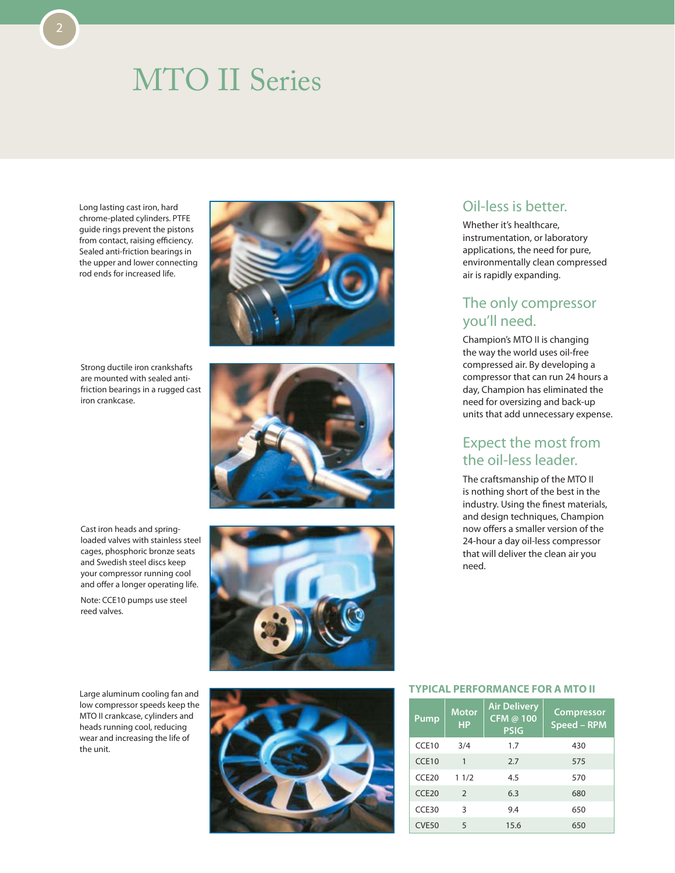## MTO II Series

Long lasting cast iron, hard chrome-plated cylinders. PTFE guide rings prevent the pistons from contact, raising efficiency. Sealed anti-friction bearings in the upper and lower connecting rod ends for increased life.

Strong ductile iron crankshafts are mounted with sealed antifriction bearings in a rugged cast iron crankcase.



Cast iron heads and springloaded valves with stainless steel cages, phosphoric bronze seats and Swedish steel discs keep your compressor running cool and offer a longer operating life.

Note: CCE10 pumps use steel reed valves.

Large aluminum cooling fan and low compressor speeds keep the MTO II crankcase, cylinders and heads running cool, reducing wear and increasing the life of the unit.





## Oil-less is better.

Whether it's healthcare, instrumentation, or laboratory applications, the need for pure, environmentally clean compressed air is rapidly expanding.

### The only compressor you'll need.

Champion's MTO II is changing the way the world uses oil-free compressed air. By developing a compressor that can run 24 hours a day, Champion has eliminated the need for oversizing and back-up units that add unnecessary expense.

## Expect the most from the oil-less leader.

The craftsmanship of the MTO II is nothing short of the best in the industry. Using the finest materials, and design techniques, Champion now offers a smaller version of the 24-hour a day oil-less compressor that will deliver the clean air you need.

#### **Typical Performance for a MTO II**

| Pump  | <b>Motor</b><br><b>HP</b> | <b>Air Delivery</b><br>CFM @ 100<br><b>PSIG</b> | <b>Compressor</b><br>Speed - RPM |
|-------|---------------------------|-------------------------------------------------|----------------------------------|
| CCE10 | 3/4                       | 1.7                                             | 430                              |
| CCE10 | 1                         | 2.7                                             | 575                              |
| CCF20 | 11/2                      | 4.5                                             | 570                              |
| CCF20 | 2                         | 6.3                                             | 680                              |
| CCE30 | 3                         | 9.4                                             | 650                              |
| CVE50 | 5                         | 15.6                                            | 650                              |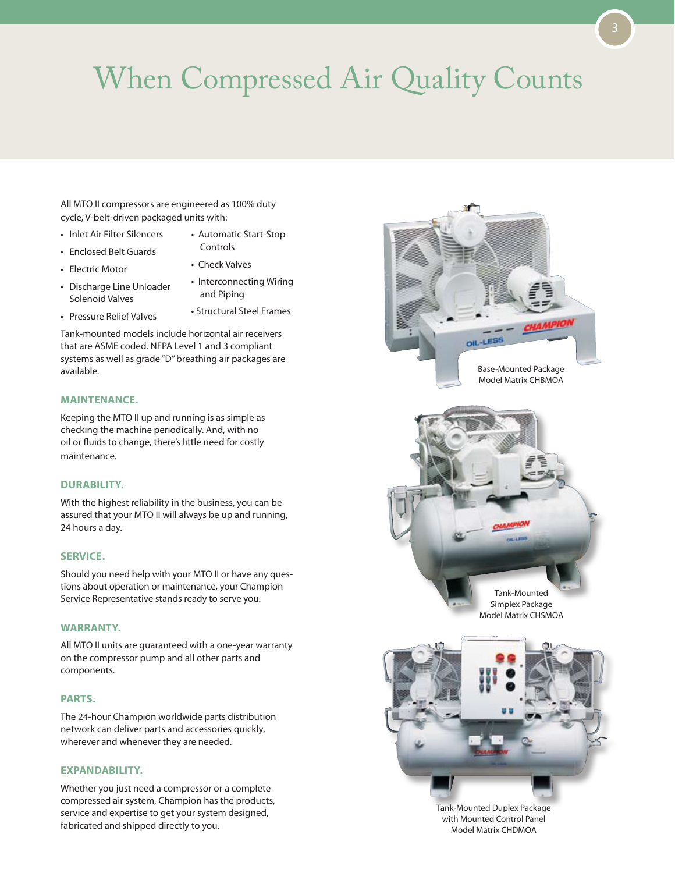## When Compressed Air Quality Counts

All MTO II compressors are engineered as 100% duty cycle, V-belt-driven packaged units with:

- Inlet Air Filter Silencers
- Automatic Start-Stop Controls
- Enclosed Belt Guards

• Electric Motor

- Check Valves
- Discharge Line Unloader Solenoid Valves
- Interconnecting Wiring and Piping
- Pressure Relief Valves
- Structural Steel Frames

Tank-mounted models include horizontal air receivers that are ASME coded. NFPA Level 1 and 3 compliant systems as well as grade "D" breathing air packages are available.

#### **MAINTENANCE.**

Keeping the MTO II up and running is as simple as checking the machine periodically. And, with no oil or fluids to change, there's little need for costly maintenance.

#### **DURABILITY.**

With the highest reliability in the business, you can be assured that your MTO II will always be up and running, 24 hours a day.

#### **SERVICE.**

Should you need help with your MTO II or have any questions about operation or maintenance, your Champion Service Representative stands ready to serve you.

#### **WARRANTY.**

All MTO II units are guaranteed with a one-year warranty on the compressor pump and all other parts and components.

#### **PARTS.**

The 24-hour Champion worldwide parts distribution network can deliver parts and accessories quickly, wherever and whenever they are needed.

#### **EXPANDABILITY.**

Whether you just need a compressor or a complete compressed air system, Champion has the products, service and expertise to get your system designed, fabricated and shipped directly to you.



Tank-Mounted Duplex Package with Mounted Control Panel Model Matrix CHDMOA